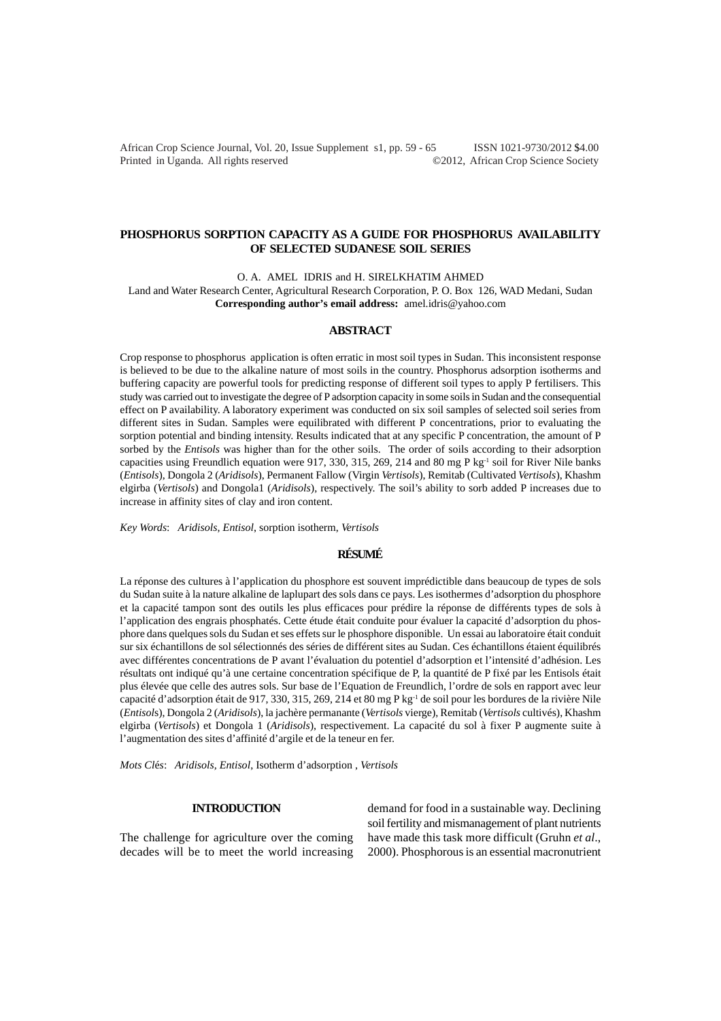African Crop Science Journal, Vol. 20, Issue Supplement s1, pp. 59 - 65 ISSN 1021-9730/2012 \$4.00 Printed in Uganda. All rights reserved ©2012, African Crop Science Society

### **PHOSPHORUS SORPTION CAPACITY AS A GUIDE FOR PHOSPHORUS AVAILABILITY OF SELECTED SUDANESE SOIL SERIES**

O. A. AMEL IDRIS and H. SIRELKHATIM AHMED

Land and Water Research Center, Agricultural Research Corporation, P. O. Box 126, WAD Medani, Sudan **Corresponding author's email address:** amel.idris@yahoo.com

#### **ABSTRACT**

Crop response to phosphorus application is often erratic in most soil types in Sudan. This inconsistent response is believed to be due to the alkaline nature of most soils in the country. Phosphorus adsorption isotherms and buffering capacity are powerful tools for predicting response of different soil types to apply P fertilisers. This study was carried out to investigate the degree of P adsorption capacity in some soils in Sudan and the consequential effect on P availability. A laboratory experiment was conducted on six soil samples of selected soil series from different sites in Sudan. Samples were equilibrated with different P concentrations, prior to evaluating the sorption potential and binding intensity. Results indicated that at any specific P concentration, the amount of P sorbed by the *Entisols* was higher than for the other soils. The order of soils according to their adsorption capacities using Freundlich equation were 917, 330, 315, 269, 214 and 80 mg P kg<sup>-1</sup> soil for River Nile banks (*Entisols*), Dongola 2 (*Aridisols*), Permanent Fallow (Virgin *Vertisols*), Remitab (Cultivated *Vertisols*), Khashm elgirba (*Vertisols*) and Dongola1 (*Aridisols*), respectively. The soil's ability to sorb added P increases due to increase in affinity sites of clay and iron content.

*Key Words*: *Aridisols, Entisol*, sorption isotherm, *Vertisols*

# **RÉSUMÉ**

La réponse des cultures à l'application du phosphore est souvent imprédictible dans beaucoup de types de sols du Sudan suite à la nature alkaline de laplupart des sols dans ce pays. Les isothermes d'adsorption du phosphore et la capacité tampon sont des outils les plus efficaces pour prédire la réponse de différents types de sols à l'application des engrais phosphatés. Cette étude était conduite pour évaluer la capacité d'adsorption du phosphore dans quelques sols du Sudan et ses effets sur le phosphore disponible. Un essai au laboratoire était conduit sur six échantillons de sol sélectionnés des séries de différent sites au Sudan. Ces échantillons étaient équilibrés avec différentes concentrations de P avant l'évaluation du potentiel d'adsorption et l'intensité d'adhésion. Les résultats ont indiqué qu'à une certaine concentration spécifique de P, la quantité de P fixé par les Entisols était plus élevée que celle des autres sols. Sur base de l'Equation de Freundlich, l'ordre de sols en rapport avec leur capacité d'adsorption était de 917, 330, 315, 269, 214 et 80 mg P kg-1 de soil pour les bordures de la rivière Nile (*Entisol*s), Dongola 2 (*Aridisols*), la jachère permanante (*Vertisols* vierge), Remitab (*Vertisols* cultivés), Khashm elgirba (*Vertisols*) et Dongola 1 (*Aridisols*), respectivement. La capacité du sol à fixer P augmente suite à l'augmentation des sites d'affinité d'argile et de la teneur en fer.

*Mots Cl*é*s*: *Aridisols, Entisol*, Isotherm d'adsorption , *Vertisols*

# **INTRODUCTION**

The challenge for agriculture over the coming decades will be to meet the world increasing

demand for food in a sustainable way. Declining soil fertility and mismanagement of plant nutrients have made this task more difficult (Gruhn *et al*., 2000). Phosphorous is an essential macronutrient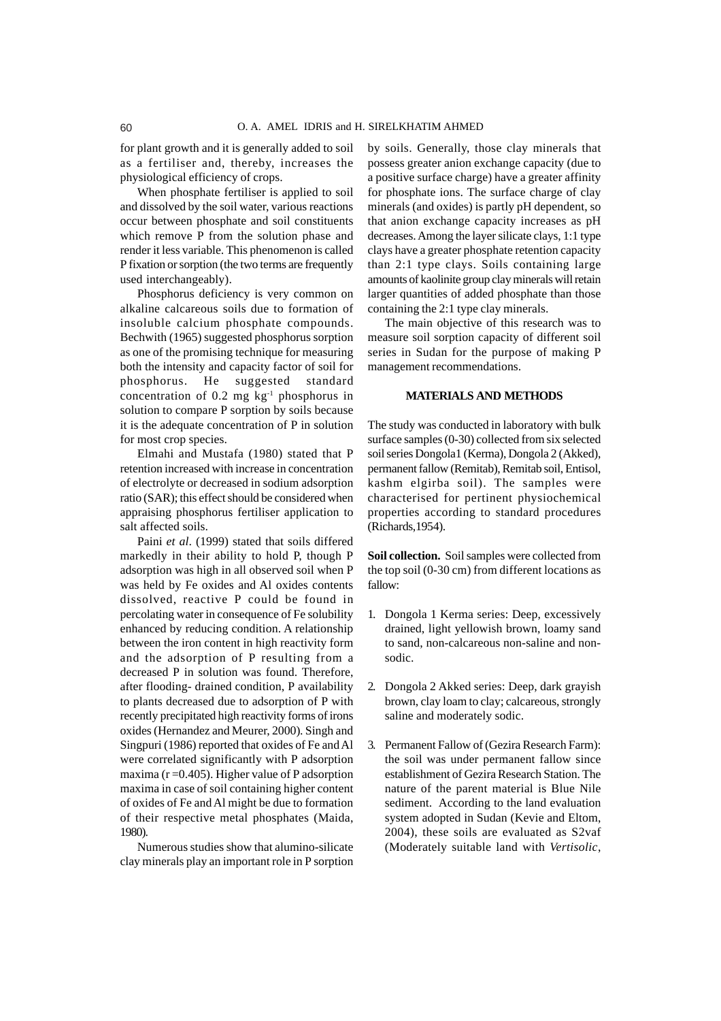for plant growth and it is generally added to soil as a fertiliser and, thereby, increases the physiological efficiency of crops.

When phosphate fertiliser is applied to soil and dissolved by the soil water, various reactions occur between phosphate and soil constituents which remove P from the solution phase and render it less variable. This phenomenon is called P fixation or sorption (the two terms are frequently used interchangeably).

Phosphorus deficiency is very common on alkaline calcareous soils due to formation of insoluble calcium phosphate compounds. Bechwith (1965) suggested phosphorus sorption as one of the promising technique for measuring both the intensity and capacity factor of soil for phosphorus. He suggested standard concentration of 0.2 mg kg-1 phosphorus in solution to compare P sorption by soils because it is the adequate concentration of P in solution for most crop species.

Elmahi and Mustafa (1980) stated that P retention increased with increase in concentration of electrolyte or decreased in sodium adsorption ratio (SAR); this effect should be considered when appraising phosphorus fertiliser application to salt affected soils.

Paini *et al*. (1999) stated that soils differed markedly in their ability to hold P, though P adsorption was high in all observed soil when P was held by Fe oxides and Al oxides contents dissolved, reactive P could be found in percolating water in consequence of Fe solubility enhanced by reducing condition. A relationship between the iron content in high reactivity form and the adsorption of P resulting from a decreased P in solution was found. Therefore, after flooding- drained condition, P availability to plants decreased due to adsorption of P with recently precipitated high reactivity forms of irons oxides (Hernandez and Meurer, 2000). Singh and Singpuri (1986) reported that oxides of Fe and Al were correlated significantly with P adsorption maxima ( $r = 0.405$ ). Higher value of P adsorption maxima in case of soil containing higher content of oxides of Fe and Al might be due to formation of their respective metal phosphates (Maida, 1980).

Numerous studies show that alumino-silicate clay minerals play an important role in P sorption

by soils. Generally, those clay minerals that possess greater anion exchange capacity (due to a positive surface charge) have a greater affinity for phosphate ions. The surface charge of clay minerals (and oxides) is partly pH dependent, so that anion exchange capacity increases as pH decreases. Among the layer silicate clays, 1:1 type clays have a greater phosphate retention capacity than 2:1 type clays. Soils containing large amounts of kaolinite group clay minerals will retain larger quantities of added phosphate than those containing the 2:1 type clay minerals.

The main objective of this research was to measure soil sorption capacity of different soil series in Sudan for the purpose of making P management recommendations.

### **MATERIALS AND METHODS**

The study was conducted in laboratory with bulk surface samples (0-30) collected from six selected soil series Dongola1 (Kerma), Dongola 2 (Akked), permanent fallow (Remitab), Remitab soil, Entisol, kashm elgirba soil). The samples were characterised for pertinent physiochemical properties according to standard procedures (Richards,1954).

**Soil collection.** Soil samples were collected from the top soil (0-30 cm) from different locations as fallow:

- 1. Dongola 1 Kerma series: Deep, excessively drained, light yellowish brown, loamy sand to sand, non-calcareous non-saline and nonsodic.
- 2. Dongola 2 Akked series: Deep, dark grayish brown, clay loam to clay; calcareous, strongly saline and moderately sodic.
- 3. Permanent Fallow of (Gezira Research Farm): the soil was under permanent fallow since establishment of Gezira Research Station. The nature of the parent material is Blue Nile sediment. According to the land evaluation system adopted in Sudan (Kevie and Eltom, 2004), these soils are evaluated as S2vaf (Moderately suitable land with *Vertisolic*,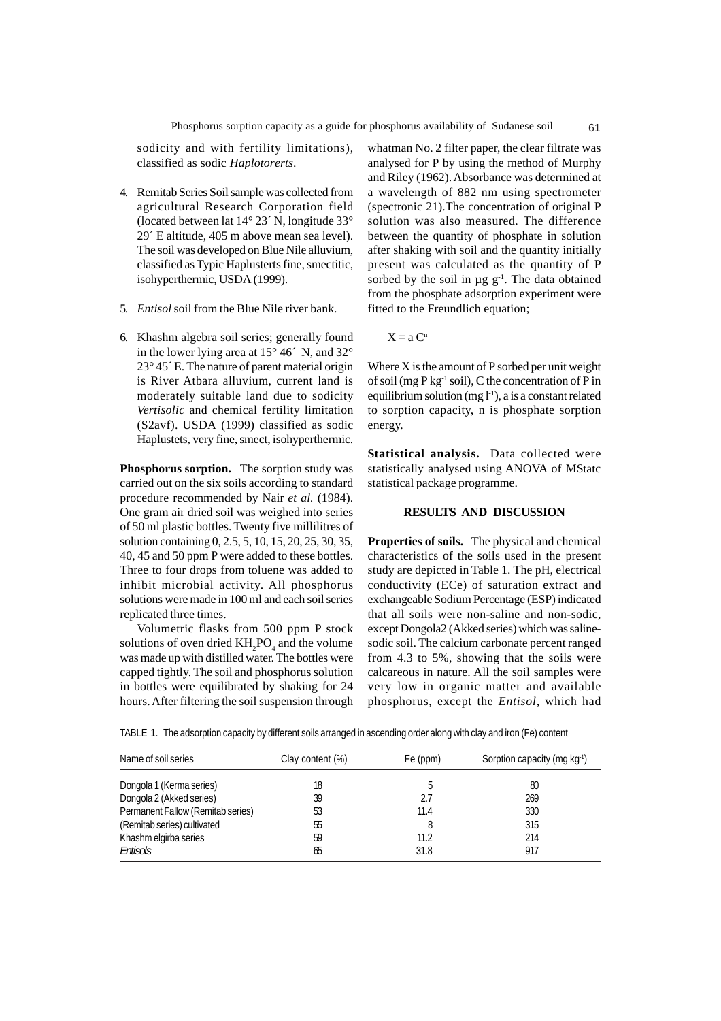sodicity and with fertility limitations), classified as sodic *Haplotorerts*.

- 4. Remitab Series Soil sample was collected from agricultural Research Corporation field (located between lat 14° 23´ N, longitude 33° 29´ E altitude, 405 m above mean sea level). The soil was developed on Blue Nile alluvium, classified as Typic Haplusterts fine, smectitic, isohyperthermic, USDA (1999).
- 5. *Entisol* soil from the Blue Nile river bank.
- 6. Khashm algebra soil series; generally found in the lower lying area at 15° 46´ N, and 32° 23° 45´ E. The nature of parent material origin is River Atbara alluvium, current land is moderately suitable land due to sodicity *Vertisolic* and chemical fertility limitation (S2avf). USDA (1999) classified as sodic Haplustets, very fine, smect, isohyperthermic.

**Phosphorus sorption.** The sorption study was carried out on the six soils according to standard procedure recommended by Nair *et al.* (1984). One gram air dried soil was weighed into series of 50 ml plastic bottles. Twenty five millilitres of solution containing 0, 2.5, 5, 10, 15, 20, 25, 30, 35, 40, 45 and 50 ppm P were added to these bottles. Three to four drops from toluene was added to inhibit microbial activity. All phosphorus solutions were made in 100 ml and each soil series replicated three times.

Volumetric flasks from 500 ppm P stock solutions of oven dried  $KH_{2}PO_{4}$  and the volume was made up with distilled water. The bottles were capped tightly. The soil and phosphorus solution in bottles were equilibrated by shaking for 24 hours. After filtering the soil suspension through

whatman No. 2 filter paper, the clear filtrate was analysed for P by using the method of Murphy and Riley (1962). Absorbance was determined at a wavelength of 882 nm using spectrometer (spectronic 21).The concentration of original P solution was also measured. The difference between the quantity of phosphate in solution after shaking with soil and the quantity initially present was calculated as the quantity of P sorbed by the soil in  $\mu$ g g<sup>-1</sup>. The data obtained from the phosphate adsorption experiment were fitted to the Freundlich equation;

 $X = a C^n$ 

Where  $X$  is the amount of  $P$  sorbed per unit weight of soil (mg  $P$  kg<sup>-1</sup> soil), C the concentration of P in equilibrium solution (mg  $l^{-1}$ ), a is a constant related to sorption capacity, n is phosphate sorption energy.

**Statistical analysis.** Data collected were statistically analysed using ANOVA of MStatc statistical package programme.

### **RESULTS AND DISCUSSION**

**Properties of soils.** The physical and chemical characteristics of the soils used in the present study are depicted in Table 1. The pH, electrical conductivity (ECe) of saturation extract and exchangeable Sodium Percentage (ESP) indicated that all soils were non-saline and non-sodic, except Dongola2 (Akked series) which was salinesodic soil. The calcium carbonate percent ranged from 4.3 to 5%, showing that the soils were calcareous in nature. All the soil samples were very low in organic matter and available phosphorus, except the *Entisol,* which had

TABLE 1. The adsorption capacity by different soils arranged in ascending order along with clay and iron (Fe) content

| Name of soil series               | Clay content (%) | Fe (ppm) | Sorption capacity (mg kg <sup>-1</sup> ) |  |
|-----------------------------------|------------------|----------|------------------------------------------|--|
| Dongola 1 (Kerma series)          | 18               | b        | 80                                       |  |
| Dongola 2 (Akked series)          | 39               | 2.7      | 269                                      |  |
| Permanent Fallow (Remitab series) | 53               | 11.4     | 330                                      |  |
| (Remitab series) cultivated       | 55               | 8        | 315                                      |  |
| Khashm elgirba series             | 59               | 11.2     | 214                                      |  |
| Entisols                          | 65               | 31.8     | 917                                      |  |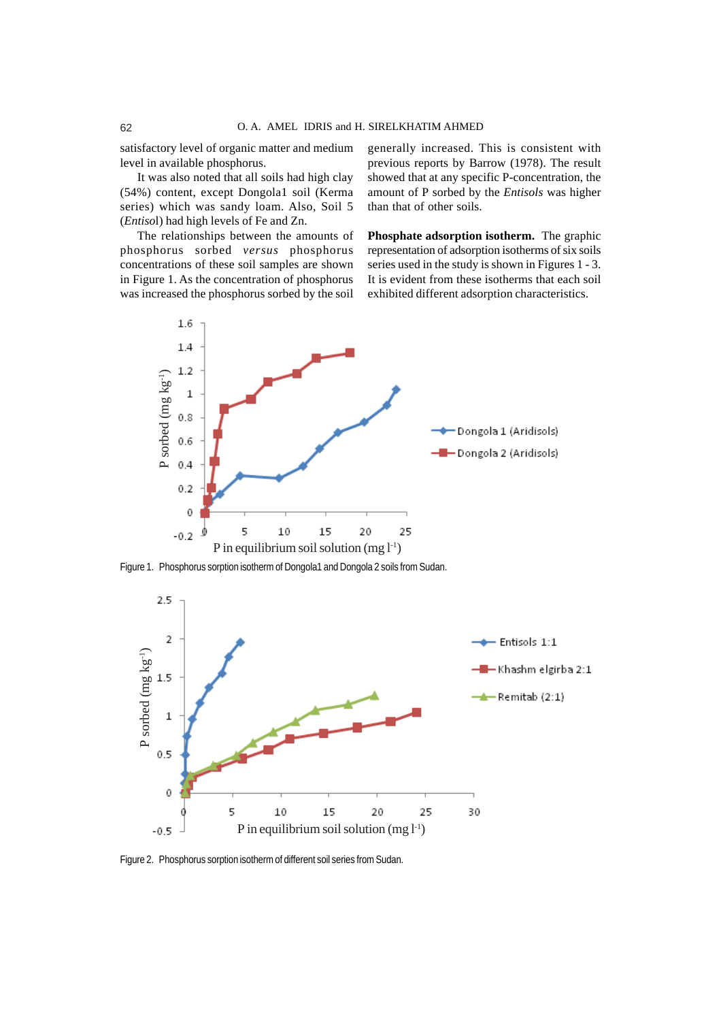satisfactory level of organic matter and medium level in available phosphorus.

It was also noted that all soils had high clay (54%) content, except Dongola1 soil (Kerma series) which was sandy loam. Also, Soil 5 (*Entiso*l) had high levels of Fe and Zn.

The relationships between the amounts of phosphorus sorbed *versus* phosphorus concentrations of these soil samples are shown in Figure 1. As the concentration of phosphorus was increased the phosphorus sorbed by the soil

generally increased. This is consistent with previous reports by Barrow (1978). The result showed that at any specific P-concentration, the amount of P sorbed by the *Entisols* was higher than that of other soils.

**Phosphate adsorption isotherm.** The graphic representation of adsorption isotherms of six soils series used in the study is shown in Figures 1 - 3. It is evident from these isotherms that each soil exhibited different adsorption characteristics.



Figure 1. Phosphorus sorption isotherm of Dongola1 and Dongola 2 soils from Sudan.

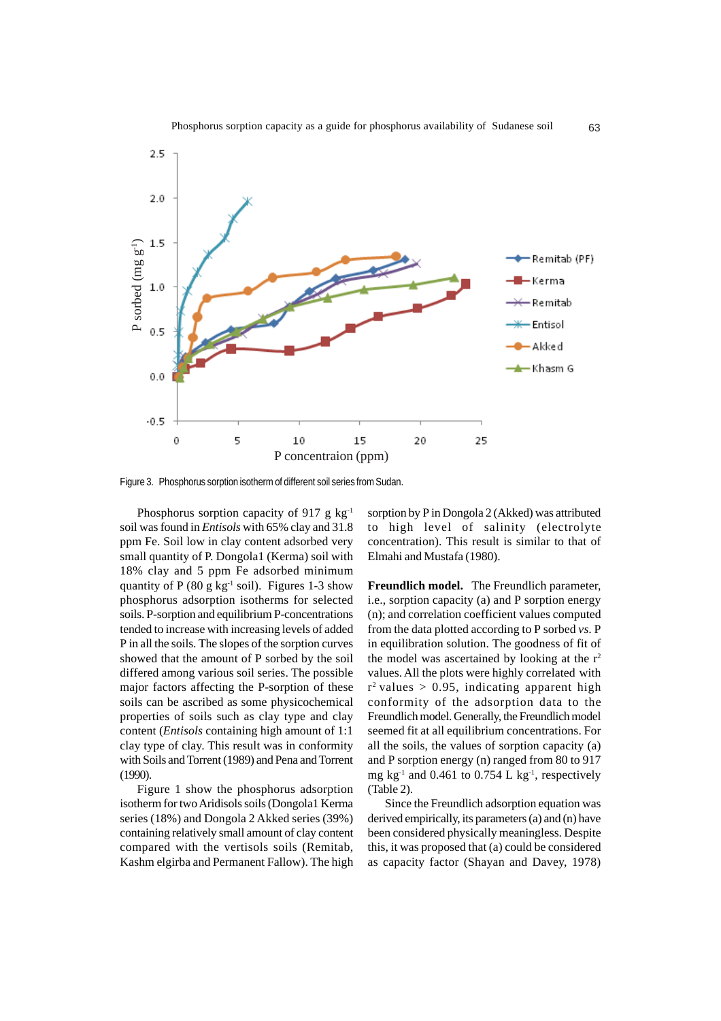

Figure 3. Phosphorus sorption isotherm of different soil series from Sudan.

Phosphorus sorption capacity of 917 g  $kg^{-1}$ soil was found in *Entisols* with 65% clay and 31.8 ppm Fe. Soil low in clay content adsorbed very small quantity of P. Dongola1 (Kerma) soil with 18% clay and 5 ppm Fe adsorbed minimum quantity of P (80 g kg<sup>-1</sup> soil). Figures 1-3 show phosphorus adsorption isotherms for selected soils. P-sorption and equilibrium P-concentrations tended to increase with increasing levels of added P in all the soils. The slopes of the sorption curves showed that the amount of P sorbed by the soil differed among various soil series. The possible major factors affecting the P-sorption of these soils can be ascribed as some physicochemical properties of soils such as clay type and clay content (*Entisols* containing high amount of 1:1 clay type of clay. This result was in conformity with Soils and Torrent (1989) and Pena and Torrent (1990).

Figure 1 show the phosphorus adsorption isotherm for two Aridisols soils (Dongola1 Kerma series (18%) and Dongola 2 Akked series (39%) containing relatively small amount of clay content compared with the vertisols soils (Remitab, Kashm elgirba and Permanent Fallow). The high

sorption by P in Dongola 2 (Akked) was attributed to high level of salinity (electrolyte concentration). This result is similar to that of Elmahi and Mustafa (1980).

**Freundlich model.** The Freundlich parameter, i.e., sorption capacity (a) and P sorption energy (n); and correlation coefficient values computed from the data plotted according to P sorbed *vs*. P in equilibration solution. The goodness of fit of the model was ascertained by looking at the  $r^2$ values. All the plots were highly correlated with  $r^2$  values  $> 0.95$ , indicating apparent high conformity of the adsorption data to the Freundlich model. Generally, the Freundlich model seemed fit at all equilibrium concentrations. For all the soils, the values of sorption capacity (a) and P sorption energy (n) ranged from 80 to 917 mg  $kg^{-1}$  and 0.461 to 0.754 L  $kg^{-1}$ , respectively (Table 2).

Since the Freundlich adsorption equation was derived empirically, its parameters (a) and (n) have been considered physically meaningless. Despite this, it was proposed that (a) could be considered as capacity factor (Shayan and Davey, 1978)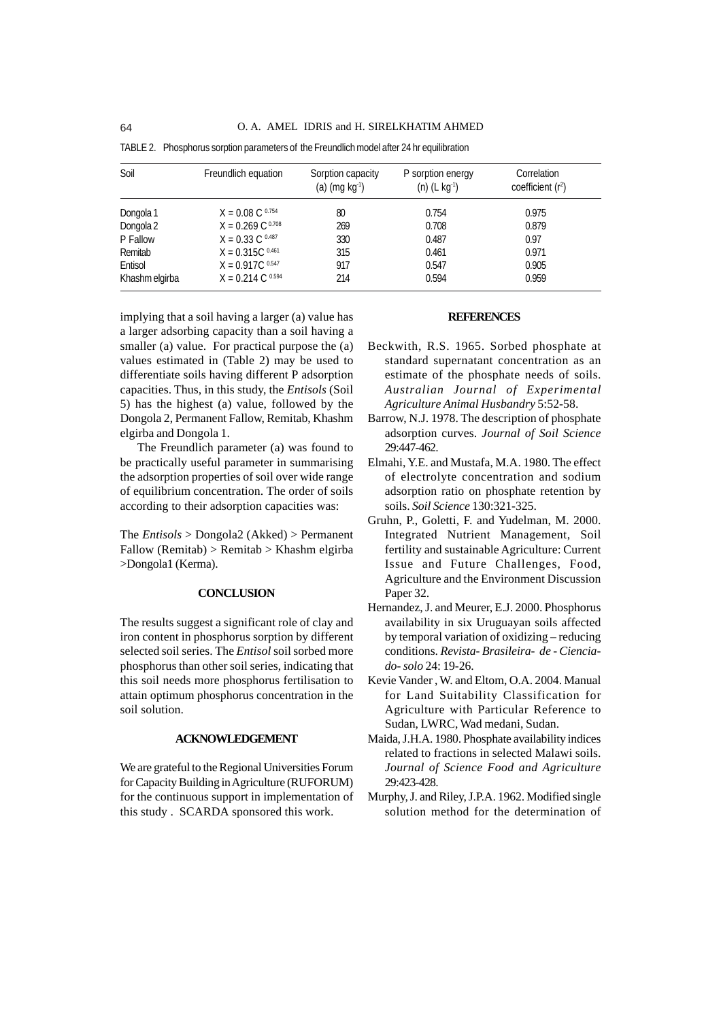| Soil           | Freundlich equation           | Sorption capacity<br>(a) $(mg kg-1)$ | P sorption energy<br>$(n)$ (L kg <sup>-1</sup> ) | Correlation<br>coefficient $(r^2)$ |
|----------------|-------------------------------|--------------------------------------|--------------------------------------------------|------------------------------------|
| Dongola 1      | $X = 0.08 \text{ C}^{0.754}$  | 80                                   | 0.754                                            | 0.975                              |
| Dongola 2      | $X = 0.269 \text{ C}^{0.708}$ | 269                                  | 0.708                                            | 0.879                              |
| P Fallow       | $X = 0.33 \text{ C}^{0.487}$  | 330                                  | 0.487                                            | 0.97                               |
| Remitab        | $X = 0.315C^{0.461}$          | 315                                  | 0.461                                            | 0.971                              |
| Entisol        | $X = 0.917C$ 0.547            | 917                                  | 0.547                                            | 0.905                              |
| Khashm elgirba | $X = 0.214 \text{ C}^{0.594}$ | 214                                  | 0.594                                            | 0.959                              |

TABLE 2. Phosphorus sorption parameters of the Freundlich model after 24 hr equilibration

implying that a soil having a larger (a) value has a larger adsorbing capacity than a soil having a smaller (a) value. For practical purpose the (a) values estimated in (Table 2) may be used to differentiate soils having different P adsorption capacities. Thus, in this study, the *Entisols* (Soil 5) has the highest (a) value, followed by the Dongola 2, Permanent Fallow, Remitab, Khashm elgirba and Dongola 1.

The Freundlich parameter (a) was found to be practically useful parameter in summarising the adsorption properties of soil over wide range of equilibrium concentration. The order of soils according to their adsorption capacities was:

The *Entisols* > Dongola2 (Akked) > Permanent Fallow (Remitab) > Remitab > Khashm elgirba >Dongola1 (Kerma).

#### **CONCLUSION**

The results suggest a significant role of clay and iron content in phosphorus sorption by different selected soil series. The *Entisol* soil sorbed more phosphorus than other soil series, indicating that this soil needs more phosphorus fertilisation to attain optimum phosphorus concentration in the soil solution.

### **ACKNOWLEDGEMENT**

We are grateful to the Regional Universities Forum for Capacity Building in Agriculture (RUFORUM) for the continuous support in implementation of this study . SCARDA sponsored this work.

# **REFERENCES**

- Beckwith, R.S. 1965. Sorbed phosphate at standard supernatant concentration as an estimate of the phosphate needs of soils. *Australian Journal of Experimental Agriculture Animal Husbandry* 5:52-58.
- Barrow, N.J. 1978. The description of phosphate adsorption curves. *Journal of Soil Science* 29:447-462.
- Elmahi, Y.E. and Mustafa, M.A. 1980. The effect of electrolyte concentration and sodium adsorption ratio on phosphate retention by soils. *Soil Science* 130:321-325.
- Gruhn, P., Goletti, F. and Yudelman, M. 2000. Integrated Nutrient Management, Soil fertility and sustainable Agriculture: Current Issue and Future Challenges, Food, Agriculture and the Environment Discussion Paper 32.
- Hernandez, J. and Meurer, E.J. 2000. Phosphorus availability in six Uruguayan soils affected by temporal variation of oxidizing – reducing conditions. *Revista- Brasileira- de - Cienciado- solo* 24: 19-26.
- Kevie Vander , W. and Eltom, O.A. 2004. Manual for Land Suitability Classification for Agriculture with Particular Reference to Sudan, LWRC, Wad medani, Sudan.
- Maida, J.H.A. 1980. Phosphate availability indices related to fractions in selected Malawi soils. *Journal of Science Food and Agriculture* 29:423-428.
- Murphy, J. and Riley, J.P.A. 1962. Modified single solution method for the determination of